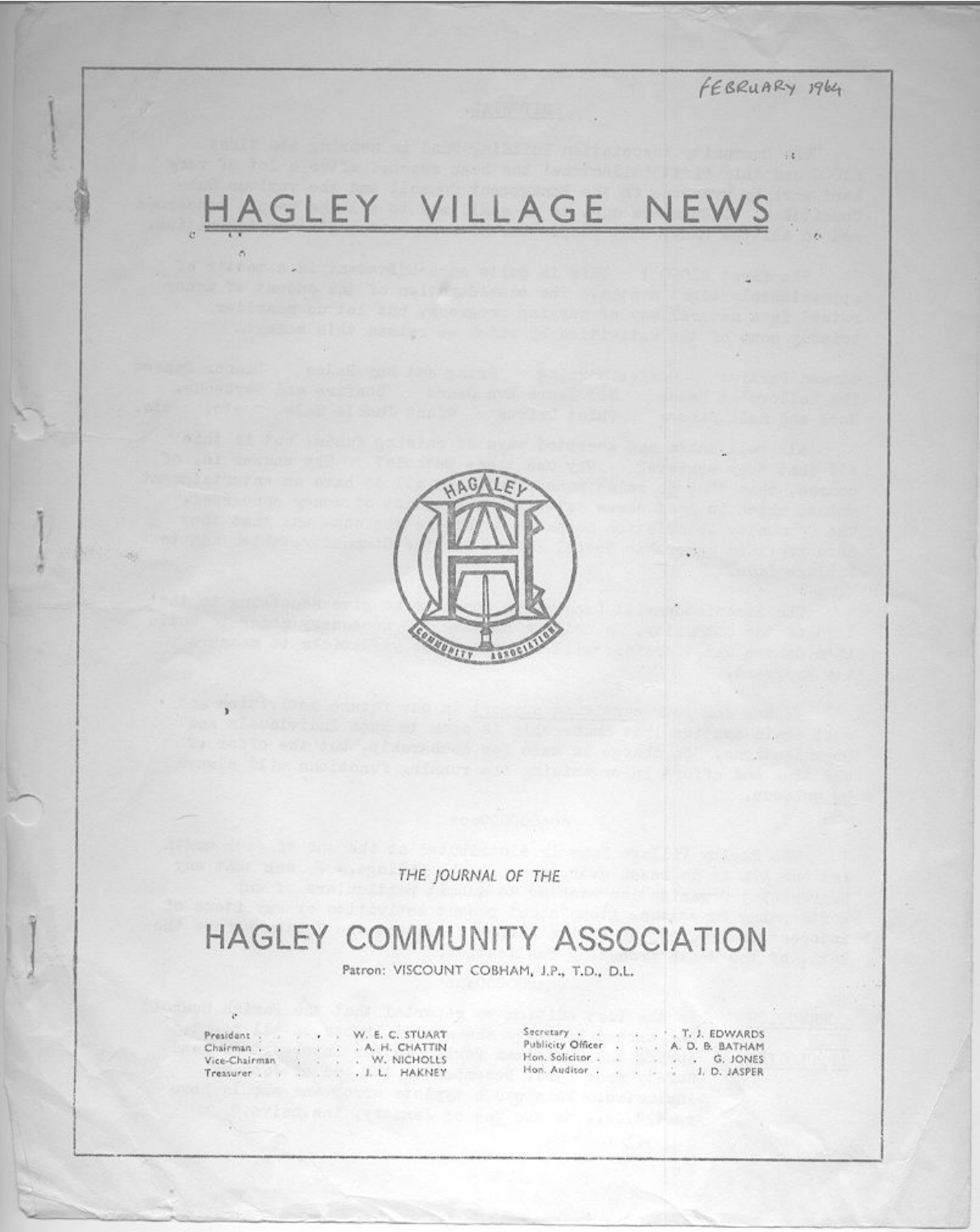FEBRUARY 1964

# GLEY VILLAGE NEWS



THE JOURNAL OF THE

## **HAGLEY COMMUNITY ASSOCIATION**

Patron: VISCOUNT COBHAM, J.P., T.D., D.L.

President . SAY. Chairman. Vice-Chairman  $\mathcal{L}_{\mathcal{X}}$ Treasurer . .

 $\alpha$ 

×

 $\sim$ 

y.

W. E. C. STUART . A. H. CHATTIN W. NICHOLLS G. . J. L. HAKNEY

Secretary<br>Publicity Officer<br>Hon. Solicitor  $\mathcal{L}_{\mathcal{A}}$  $\mathbb{R}$  $\ddot{\phantom{a}}$ Hon. Auditor . .

. T. J. EDWARDS A. D. B. BATHAM G. JONES J. D. JASPER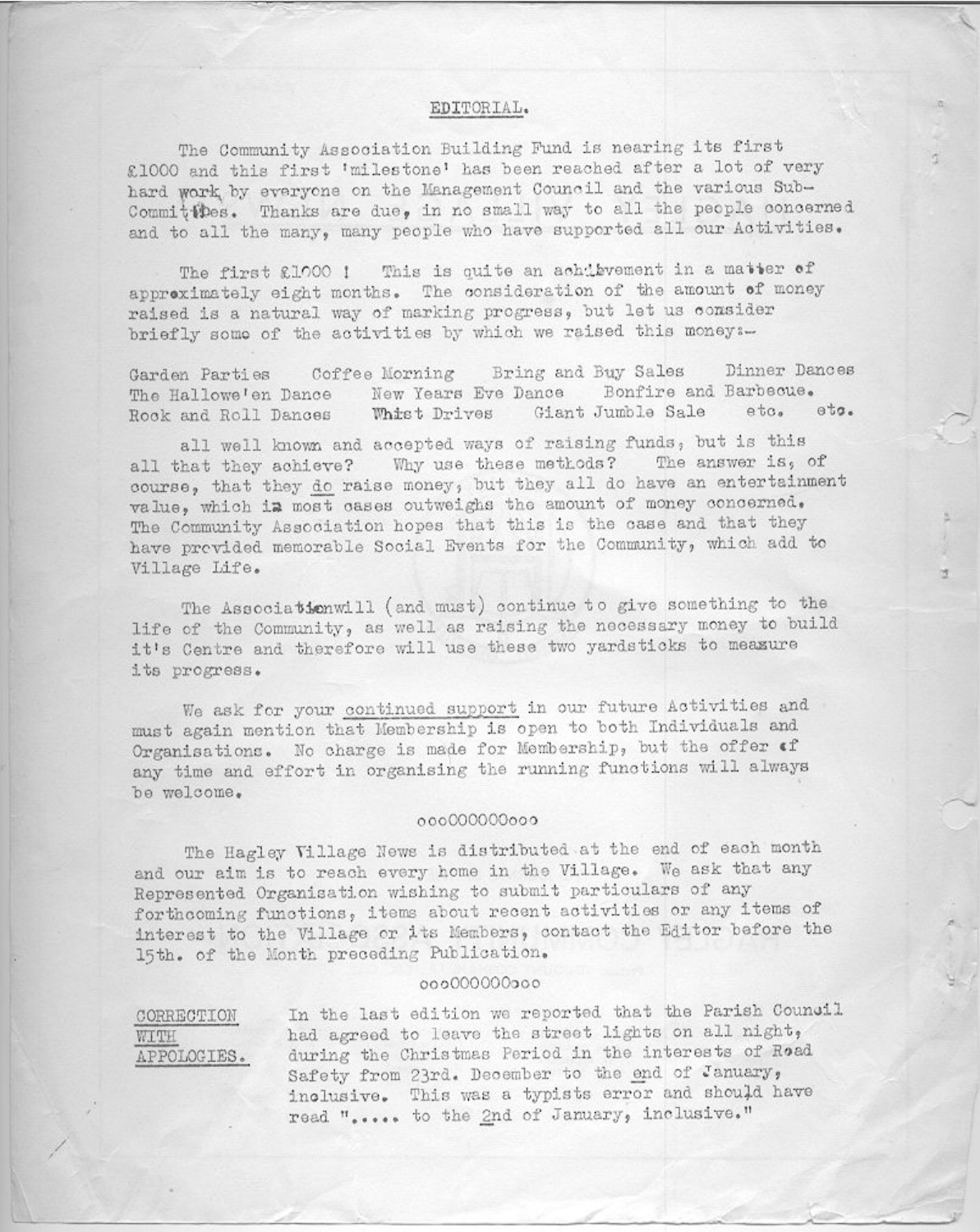#### EDITORIAL.

The Community Association Building Fund is nearing its first £1000 and this first 'milestone' has been reached after a lot of very hard work by everyone on the Management Council and the various Sub-Committees. Thanks are due, in no small way to all the people concerned and to all the many, many people who have supported all our Activities.

The first £1000 ! This is quite an achibvement in a matter of approximately eight months. The consideration of the amount of money raised is a natural way of marking progress, but let us consider briefly some of the activities by which we raised this money :-

Bring and Buy Sales Dinner Dances Coffee Morning Garden Parties Bonfire and Barbeoue. New Years Eve Dance The Hallowe'en Dance Whist Drives Giant Jumble Sale etc.  $eta.$ Rock and Roll Dances

all well known and accepted ways of raising funds, but is this all that they achieve? Why use these methods? The answer is, of course, that they do raise money, but they all do have an entertainment value, which in most cases outweighs the amount of money concerned. The Community Association hopes that this is the case and that they have previded memorable Social Events for the Community, which add to Village Life.

u

The Associationwill (and must) continue to give something to the life of the Community, as well as raising the necessary money to build it's Centre and therefore will use these two yardsticks to measure its progress.

We ask for your continued support in our future Activities and must again mention that Membership is open to both Individuals and Organisations. No charge is made for Membership, but the offer of any time and effort in organising the running functions will always be welcome.

#### 00000000000

The Hagley Village News is distributed at the end of each month and our aim is to reach every home in the Village. We ask that any Represented Organisation wishing to submit particulars of any forthcoming functions, items about recent activities or any items of interest to the Village or its Members, contact the Editor before the 15th. of the Month preceding Publication.

#### 00000000000

CORRECTION WITH APPOLOGIES.

In the last edition we reported that the Parish Council had agreed to leave the street lights on all night, during the Christmas Period in the interests of Road Safety from 23rd. December to the end of January, inclusive. This was a typists error and should have read "..... to the 2nd of January, inclusive."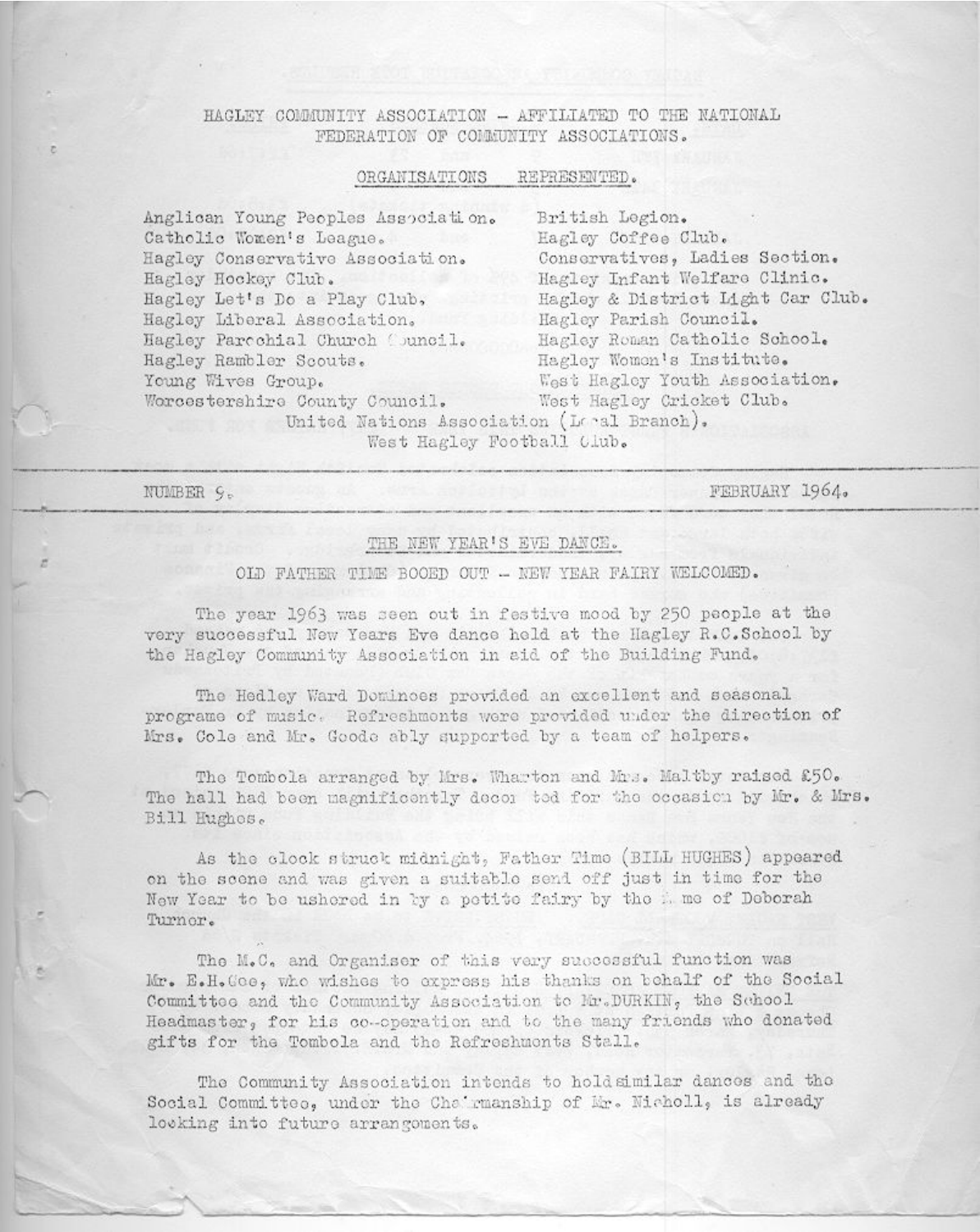#### HAGLEY COMMUNITY ASSOCIATION - AFFILIATED TO THE NATIONAL FEDERATION OF COMMUNITY ASSOCIATIONS.

#### ORGANISATIONS REPRESENTED.

| Anglican Young Peoples Association.                  | British Legion.                   |
|------------------------------------------------------|-----------------------------------|
| Catholic Women's League.                             | Hagley Coffee Club.               |
| Hagley Conservative Association.                     | Conservatives, Ladies Section.    |
| Hagley Hockey Club.                                  | Hagley Infant Welfare Clinic.     |
| Hagley Let's Do a Play Club,                         | Hagley & District Light Car Club. |
| Hagley Liberal Association.                          | Hagley Parish Council.            |
| Hagley Parcohial Church Council.                     | Hagley Roman Catholic School.     |
| Hagley Rambler Scouts.                               | Hagley Women's Institute.         |
| West Hagley Youth Association.<br>Young Wives Group. |                                   |
| Worcestershire County Council.                       | West Hagley Cricket Club.         |
| United Nations Association (Leal Branch).            |                                   |
| West Hagley Football (Lub.                           |                                   |

NUMBER 9.

FEBRUARY 1964.

#### THE NEW YEAR'S EVE DANCE.

#### OID FATHER TIME BOOED OUT - NEW YEAR FAIRY WELCOMED.

The year 1963 was seen out in festive mood by 250 people at the very successful New Years Eve dance held at the Hagley R.C.School by the Hagley Community Association in aid of the Building Fund.

The Hedley Ward Dominoes provided an excellent and seasonal programe of music. Refreshments were provided under the direction of Mrs. Cole and Mr. Goode ably supported by a team of helpers.

The Tombola arranged by Mrs. Wharton and Mrs. Maltby raised £50. The hall had been magnificently decor tod for the occasion by Mr. & Mrs. Bill Hughes.

As the clock struck midnight, Father Time (BILL HUGHES) appeared on the scene and was given a suitable send off just in time for the New Year to be ushered in by a petite fairy by the a me of Deborah Turnor.

The M.C. and Organiser of this very successful function was Mr. E.H.Goe, who wishes to express his thanks on behalf of the Social Committee and the Community Association to Mr.DURKIN, the School Headmaster, for his co-operation and to the many friends who donated gifts for the Tombola and the Refreshmonts Stall.

The Community Association intends to holdsimilar dances and the Social Committee. under the Che rmanship of Mr. Nicholl, is already looking into future arrangements.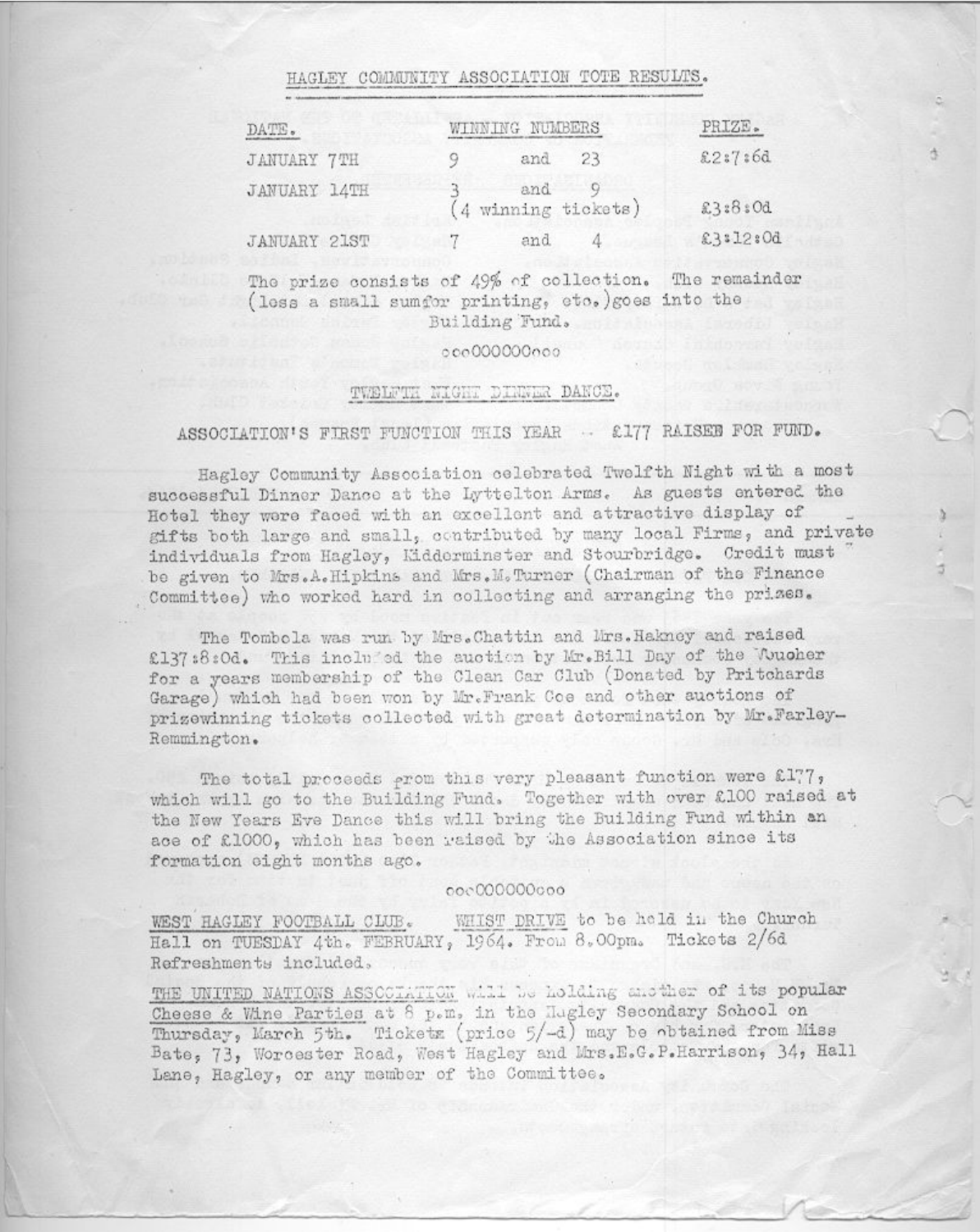### HAGLEY COMMUNITY ASSOCIATION TOTE RESULTS.

| DATE.              | WINNING NUMBERS              | PRIZE.   |
|--------------------|------------------------------|----------|
| <b>JANUARY 7TH</b> | and 23                       | £2:7:6d  |
| JANUARY 14TH       | and 9<br>(4 winning tickets) | £3:8:0d  |
| JANUARY 21ST       | and<br>$\mathcal{I}$         | £3:12:0d |

The prize consists of 49% of collection. The remainder (less a small sumfor printing, etc.) goes into the Building Fund.

#### 00000000000

#### TWELFTH NIGHT DINNER DANCE.

#### ASSOCIATION'S FIRST FUNCTION THIS YEAR - £177 RAISED FOR FUND.

Hagley Community Association celebrated Twelfth Night with a most successful Dinner Dance at the Lyttelton Arms. As guests entered the Hotel they were faced with an excellent and attractive display of gifts both large and small, contributed by many local Firms, and private individuals from Hagley, Kidderminster and Stourbridge. Credit must be given to Mrs.A.Hipkins and Mrs.M.Turner (Chairman of the Finance Committee) who worked hard in collecting and arranging the prizes.

The Tombola was run by Mrs. Chattin and Mrs. Hakney and raised £137:8:0d. This included the auction by Mr. Bill Day of the Wucher for a years membership of the Clean Car Club (Donated by Pritchards Garage) which had been won by Mr. Frank Coe and other auctions of prizewinning tickets collected with great determination by Mr.Farley-Remmington.

The total proceeds prom this very pleasant function were £177, which will go to the Building Fund. Together with over £100 raised at the New Years Eve Dance this will bring the Building Fund within an ace of £1000, which has been raised by the Association since its formation eight months ago.

#### 00000000000

WHIST DRIVE to be held in the Church WEST HAGLEY FOOTBALL CLUB. Hall on TUESDAY 4th. FEBRUARY, 1964. From 8.00pm. Tickets 2/6d Refreshments included.

THE UNITED NATIONS ASSOCIATION will be holding another of its popular Cheese & Wine Parties at 8 p.m. in the Hugley Secondary School on Thursday, March 5th. Ticketz (price 5/-d) may be obtained from Miss Bate, 73, Worcester Road, West Hagley and Mrs.E.G.P.Harrison, 34, Hall Lane, Hagley, or any member of the Committee.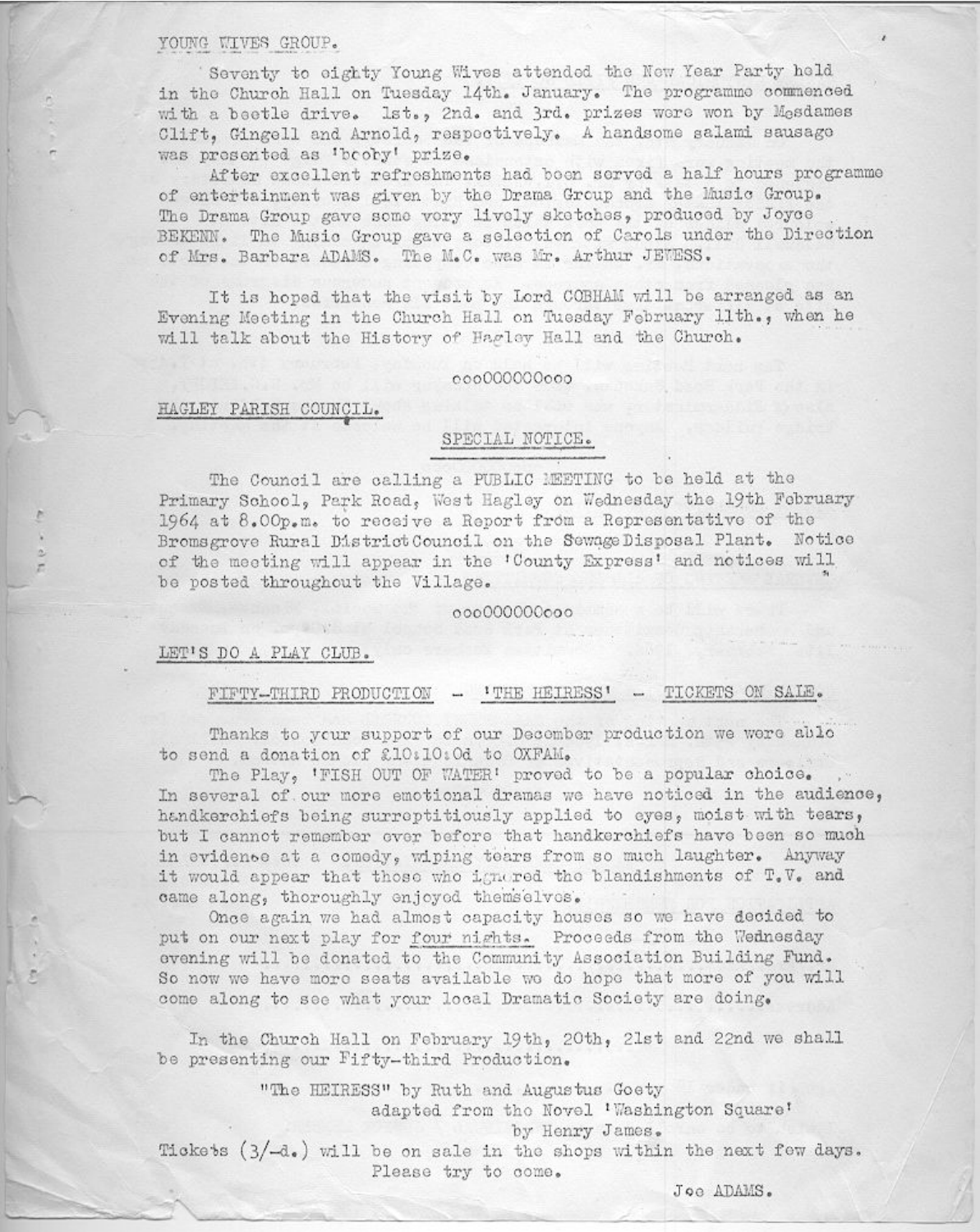YOUNG WIVES GROUP.

Seventy to eighty Young Wives attended the New Year Party held in the Church Hall on Tuesday 14th. January. The programme commenced with a beetle drive. Ist., 2nd. and 3rd. prizes were won by Mesdames Clift. Gingell and Arnold, respectively. A handsome salami sausage was presented as 'booby' prize.

After excellent refreshments had boen served a half hours programme of entertainment was given by the Drama Group and the Music Group. The Drama Group gave some vory lively sketches, produced by Joyce BEKENN. The Music Group gave a selection of Carols under the Direction of Mrs. Barbara ADAMS. The M.C. was Mr. Arthur JEWESS.

It is hoped that the visit by Lord COBHAM will be arranged as an Evening Meeting in the Church Hall on Tuesday February lith., when he will talk about the History of Hagley Hall and the Church.

#### 00000000000

#### HAGLEY PARISH COUNCIL.

#### SPECIAL NOTICE.

The Council are calling a PUBLIC MEETING to be held at the Primary School, Park Road, West Hagley on Wednesday the 19th February 1964 at 8.00p.m. to receive a Report from a Representative of the Bromsgrove Rural DistrictCouncil on the SewageDisposal Plant. Notice of the meeting will appear in the 'County Express' and notices will be posted throughout the Village.

00000000000

#### LET'S DO A PLAY CLUB.

FIFTY-THIRD PRODUCTION - 'THE HEIRESS' - TICKETS ON SALE.

Thanks to your support of our December production we were able to send a donation of £10:10:0d to OXFAM.

The Play. 'FISH OUT OF WATER' proved to be a popular choice. In several of our more emotional dramas we have noticed in the audience, handkerchiefs being surreptitiously applied to eyes, moist with tears, but I cannot remember ever before that handkerchiefs have been so much in evidence at a comedy, wiping tears from so much laughter. Anyway it would appear that those who ignored the blandishments of T.V. and came along, thoroughly enjoyed themselves.

Once again we had almost capacity houses so we have decided to put on our next play for four nights. Proceeds from the Wednesday evening will be donated to the Community Association Building Fund. So now we have more seats available we do hope that more of you will come along to see what your local Dramatic Society are doing.

In the Church Hall on February 19th, 20th, 21st and 22nd we shall be presenting our Fifty-third Production.

"The HEIRESS" by Ruth and Augustus Goety adapted from the Novel 'Washington Square' by Henry James. Tickets (3/-d.) will be on sale in the shops within the next few days.

Please try to come.

Joe ADAMS.